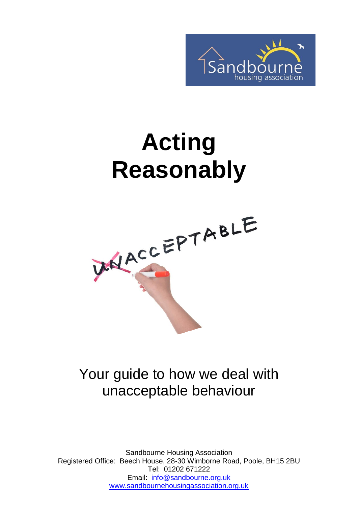

# **Acting Reasonably**



### Your guide to how we deal with unacceptable behaviour

Sandbourne Housing Association Registered Office: Beech House, 28-30 Wimborne Road, Poole, BH15 2BU Tel: 01202 671222 Email: [info@sandbourne.org.uk](mailto:info@sandbourne.org.uk) [www.sandbournehousingassociation.org.uk](http://www.sandbournehousingassociation.org.uk/)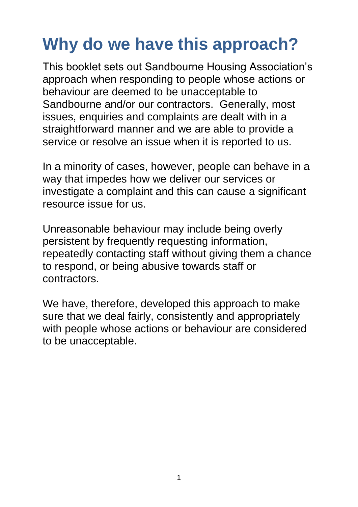## **Why do we have this approach?**

This booklet sets out Sandbourne Housing Association's approach when responding to people whose actions or behaviour are deemed to be unacceptable to Sandbourne and/or our contractors. Generally, most issues, enquiries and complaints are dealt with in a straightforward manner and we are able to provide a service or resolve an issue when it is reported to us.

In a minority of cases, however, people can behave in a way that impedes how we deliver our services or investigate a complaint and this can cause a significant resource issue for us.

Unreasonable behaviour may include being overly persistent by frequently requesting information, repeatedly contacting staff without giving them a chance to respond, or being abusive towards staff or contractors.

We have, therefore, developed this approach to make sure that we deal fairly, consistently and appropriately with people whose actions or behaviour are considered to be unacceptable.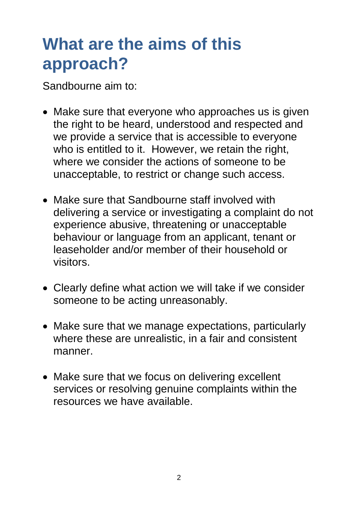### **What are the aims of this approach?**

Sandbourne aim to:

- Make sure that everyone who approaches us is given the right to be heard, understood and respected and we provide a service that is accessible to everyone who is entitled to it. However, we retain the right, where we consider the actions of someone to be unacceptable, to restrict or change such access.
- Make sure that Sandbourne staff involved with delivering a service or investigating a complaint do not experience abusive, threatening or unacceptable behaviour or language from an applicant, tenant or leaseholder and/or member of their household or visitors.
- Clearly define what action we will take if we consider someone to be acting unreasonably.
- Make sure that we manage expectations, particularly where these are unrealistic, in a fair and consistent manner.
- Make sure that we focus on delivering excellent services or resolving genuine complaints within the resources we have available.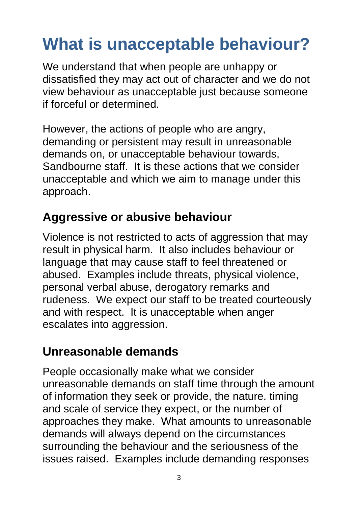## **What is unacceptable behaviour?**

We understand that when people are unhappy or dissatisfied they may act out of character and we do not view behaviour as unacceptable just because someone if forceful or determined.

However, the actions of people who are angry, demanding or persistent may result in unreasonable demands on, or unacceptable behaviour towards, Sandbourne staff. It is these actions that we consider unacceptable and which we aim to manage under this approach.

### **Aggressive or abusive behaviour**

Violence is not restricted to acts of aggression that may result in physical harm. It also includes behaviour or language that may cause staff to feel threatened or abused. Examples include threats, physical violence, personal verbal abuse, derogatory remarks and rudeness. We expect our staff to be treated courteously and with respect. It is unacceptable when anger escalates into aggression.

### **Unreasonable demands**

People occasionally make what we consider unreasonable demands on staff time through the amount of information they seek or provide, the nature. timing and scale of service they expect, or the number of approaches they make. What amounts to unreasonable demands will always depend on the circumstances surrounding the behaviour and the seriousness of the issues raised. Examples include demanding responses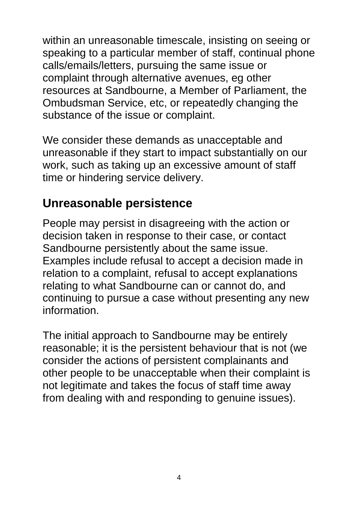within an unreasonable timescale, insisting on seeing or speaking to a particular member of staff, continual phone calls/emails/letters, pursuing the same issue or complaint through alternative avenues, eg other resources at Sandbourne, a Member of Parliament, the Ombudsman Service, etc, or repeatedly changing the substance of the issue or complaint.

We consider these demands as unacceptable and unreasonable if they start to impact substantially on our work, such as taking up an excessive amount of staff time or hindering service delivery.

#### **Unreasonable persistence**

People may persist in disagreeing with the action or decision taken in response to their case, or contact Sandbourne persistently about the same issue. Examples include refusal to accept a decision made in relation to a complaint, refusal to accept explanations relating to what Sandbourne can or cannot do, and continuing to pursue a case without presenting any new information.

The initial approach to Sandbourne may be entirely reasonable; it is the persistent behaviour that is not (we consider the actions of persistent complainants and other people to be unacceptable when their complaint is not legitimate and takes the focus of staff time away from dealing with and responding to genuine issues).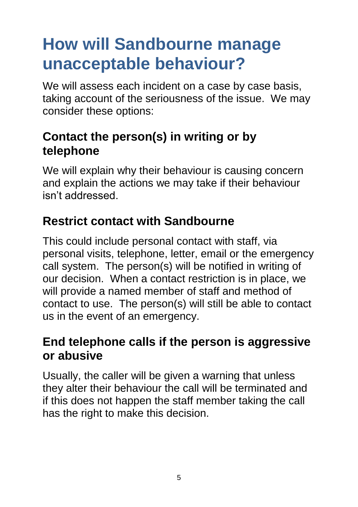### **How will Sandbourne manage unacceptable behaviour?**

We will assess each incident on a case by case basis, taking account of the seriousness of the issue. We may consider these options:

#### **Contact the person(s) in writing or by telephone**

We will explain why their behaviour is causing concern and explain the actions we may take if their behaviour isn't addressed.

#### **Restrict contact with Sandbourne**

This could include personal contact with staff, via personal visits, telephone, letter, email or the emergency call system. The person(s) will be notified in writing of our decision. When a contact restriction is in place, we will provide a named member of staff and method of contact to use. The person(s) will still be able to contact us in the event of an emergency.

#### **End telephone calls if the person is aggressive or abusive**

Usually, the caller will be given a warning that unless they alter their behaviour the call will be terminated and if this does not happen the staff member taking the call has the right to make this decision.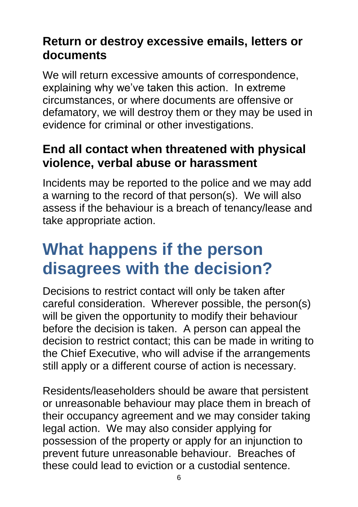#### **Return or destroy excessive emails, letters or documents**

We will return excessive amounts of correspondence, explaining why we've taken this action. In extreme circumstances, or where documents are offensive or defamatory, we will destroy them or they may be used in evidence for criminal or other investigations.

#### **End all contact when threatened with physical violence, verbal abuse or harassment**

Incidents may be reported to the police and we may add a warning to the record of that person(s). We will also assess if the behaviour is a breach of tenancy/lease and take appropriate action.

### **What happens if the person disagrees with the decision?**

Decisions to restrict contact will only be taken after careful consideration. Wherever possible, the person(s) will be given the opportunity to modify their behaviour before the decision is taken. A person can appeal the decision to restrict contact; this can be made in writing to the Chief Executive, who will advise if the arrangements still apply or a different course of action is necessary.

Residents/leaseholders should be aware that persistent or unreasonable behaviour may place them in breach of their occupancy agreement and we may consider taking legal action. We may also consider applying for possession of the property or apply for an injunction to prevent future unreasonable behaviour. Breaches of these could lead to eviction or a custodial sentence.